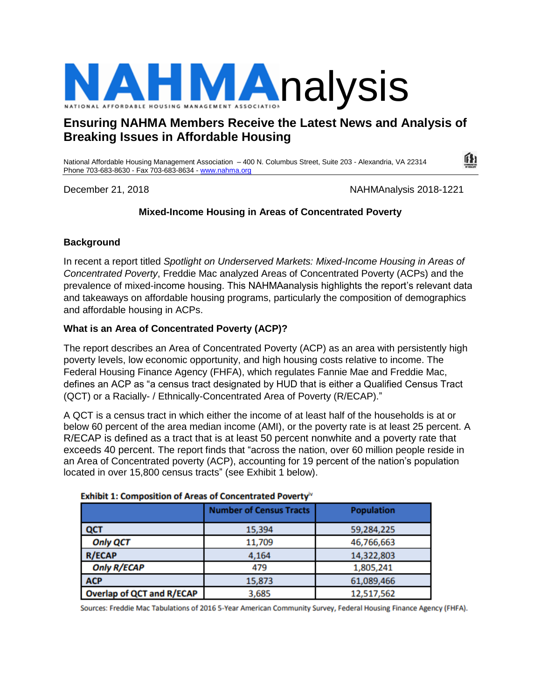

# **Ensuring NAHMA Members Receive the Latest News and Analysis of Breaking Issues in Affordable Housing**

National Affordable Housing Management Association – 400 N. Columbus Street, Suite 203 - Alexandria, VA 22314 Phone 703-683-8630 - Fax 703-683-8634 - [www.nahma.org](http://www.nahma.org/)

December 21, 2018 2018 1221

# **Mixed-Income Housing in Areas of Concentrated Poverty**

#### **Background**

In recent a report titled *Spotlight on Underserved Markets: Mixed-Income Housing in Areas of Concentrated Poverty*, Freddie Mac analyzed Areas of Concentrated Poverty (ACPs) and the prevalence of mixed-income housing. This NAHMAanalysis highlights the report's relevant data and takeaways on affordable housing programs, particularly the composition of demographics and affordable housing in ACPs.

#### **What is an Area of Concentrated Poverty (ACP)?**

The report describes an Area of Concentrated Poverty (ACP) as an area with persistently high poverty levels, low economic opportunity, and high housing costs relative to income. The Federal Housing Finance Agency (FHFA), which regulates Fannie Mae and Freddie Mac, defines an ACP as "a census tract designated by HUD that is either a Qualified Census Tract (QCT) or a Racially- / Ethnically-Concentrated Area of Poverty (R/ECAP)."

A QCT is a census tract in which either the income of at least half of the households is at or below 60 percent of the area median income (AMI), or the poverty rate is at least 25 percent. A R/ECAP is defined as a tract that is at least 50 percent nonwhite and a poverty rate that exceeds 40 percent. The report finds that "across the nation, over 60 million people reside in an Area of Concentrated poverty (ACP), accounting for 19 percent of the nation's population located in over 15,800 census tracts" (see Exhibit 1 below).

| <u>ENTING IT COMPOSITION OF ALCUS OF CONCERTIVIOUS FOTCITY</u> |                                |                   |  |  |
|----------------------------------------------------------------|--------------------------------|-------------------|--|--|
|                                                                | <b>Number of Census Tracts</b> | <b>Population</b> |  |  |
| QCT                                                            | 15,394                         | 59,284,225        |  |  |
| <b>Only QCT</b>                                                | 11,709                         | 46,766,663        |  |  |
| <b>R/ECAP</b>                                                  | 4,164                          | 14,322,803        |  |  |
| <b>Only R/ECAP</b>                                             | 479                            | 1,805,241         |  |  |
| <b>ACP</b>                                                     | 15,873                         | 61,089,466        |  |  |
| <b>Overlap of QCT and R/ECAP</b>                               | 3,685                          | 12,517,562        |  |  |

#### **Exhibit 1: Composition of Areas of Concentrated Poverty®**

Sources: Freddie Mac Tabulations of 2016 5-Year American Community Survey, Federal Housing Finance Agency (FHFA).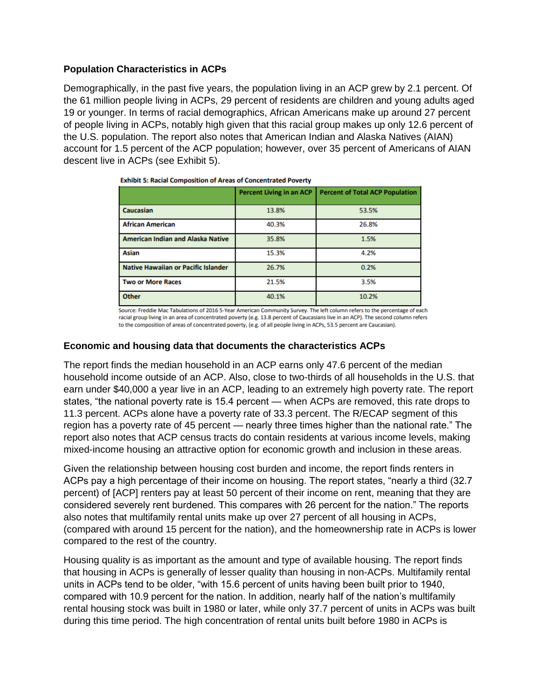# **Population Characteristics in ACPs**

Demographically, in the past five years, the population living in an ACP grew by 2.1 percent. Of the 61 million people living in ACPs, 29 percent of residents are children and young adults aged 19 or younger. In terms of racial demographics, African Americans make up around 27 percent of people living in ACPs, notably high given that this racial group makes up only 12.6 percent of the U.S. population. The report also notes that American Indian and Alaska Natives (AIAN) account for 1.5 percent of the ACP population; however, over 35 percent of Americans of AIAN descent live in ACPs (see Exhibit 5).

|                                            | <b>Percent Living in an ACP</b> | <b>Percent of Total ACP Population</b> |  |  |  |
|--------------------------------------------|---------------------------------|----------------------------------------|--|--|--|
| Caucasian                                  | 13.8%                           | 53.5%                                  |  |  |  |
| <b>African American</b>                    | 40.3%                           | 26.8%                                  |  |  |  |
| <b>American Indian and Alaska Native</b>   | 35.8%                           | 1.5%                                   |  |  |  |
| <b>Asian</b>                               | 15.3%                           | 4.2%                                   |  |  |  |
| <b>Native Hawaiian or Pacific Islander</b> | 26.7%                           | 0.2%                                   |  |  |  |
| <b>Two or More Races</b>                   | 21.5%                           | 3.5%                                   |  |  |  |
| <b>Other</b>                               | 40.1%                           | 10.2%                                  |  |  |  |

**Exhibit 5: Racial Composition of Areas of Concentrated Poverty** 

Source: Freddie Mac Tabulations of 2016 5-Year American Community Survey. The left column refers to the percentage of each racial group living in an area of concentrated poverty (e.g. 13.8 percent of Caucasians live in an ACP). The second column refers to the composition of areas of concentrated poverty, (e.g. of all people living in ACPs, 53.5 percent are Caucasian).

#### **Economic and housing data that documents the characteristics ACPs**

The report finds the median household in an ACP earns only 47.6 percent of the median household income outside of an ACP. Also, close to two-thirds of all households in the U.S. that earn under \$40,000 a year live in an ACP, leading to an extremely high poverty rate. The report states, "the national poverty rate is 15.4 percent — when ACPs are removed, this rate drops to 11.3 percent. ACPs alone have a poverty rate of 33.3 percent. The R/ECAP segment of this region has a poverty rate of 45 percent — nearly three times higher than the national rate." The report also notes that ACP census tracts do contain residents at various income levels, making mixed-income housing an attractive option for economic growth and inclusion in these areas.

Given the relationship between housing cost burden and income, the report finds renters in ACPs pay a high percentage of their income on housing. The report states, "nearly a third (32.7 percent) of [ACP] renters pay at least 50 percent of their income on rent, meaning that they are considered severely rent burdened. This compares with 26 percent for the nation." The reports also notes that multifamily rental units make up over 27 percent of all housing in ACPs, (compared with around 15 percent for the nation), and the homeownership rate in ACPs is lower compared to the rest of the country.

Housing quality is as important as the amount and type of available housing. The report finds that housing in ACPs is generally of lesser quality than housing in non-ACPs. Multifamily rental units in ACPs tend to be older, "with 15.6 percent of units having been built prior to 1940, compared with 10.9 percent for the nation. In addition, nearly half of the nation's multifamily rental housing stock was built in 1980 or later, while only 37.7 percent of units in ACPs was built during this time period. The high concentration of rental units built before 1980 in ACPs is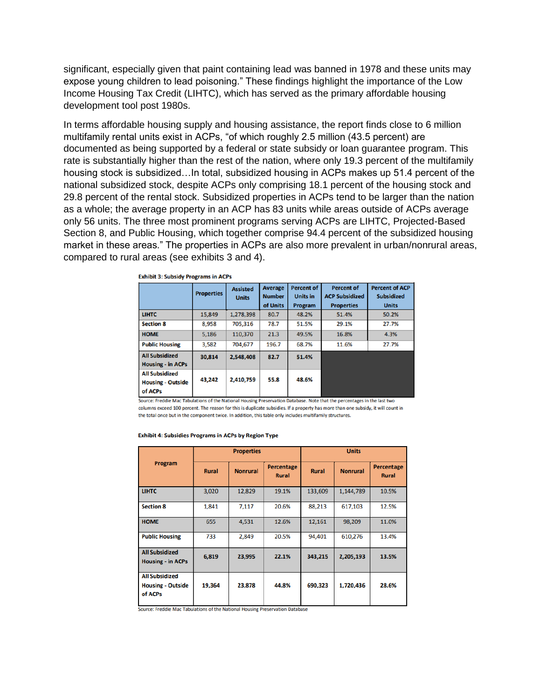significant, especially given that paint containing lead was banned in 1978 and these units may expose young children to lead poisoning." These findings highlight the importance of the Low Income Housing Tax Credit (LIHTC), which has served as the primary affordable housing development tool post 1980s.

In terms affordable housing supply and housing assistance, the report finds close to 6 million multifamily rental units exist in ACPs, "of which roughly 2.5 million (43.5 percent) are documented as being supported by a federal or state subsidy or loan guarantee program. This rate is substantially higher than the rest of the nation, where only 19.3 percent of the multifamily housing stock is subsidized…In total, subsidized housing in ACPs makes up 51.4 percent of the national subsidized stock, despite ACPs only comprising 18.1 percent of the housing stock and 29.8 percent of the rental stock. Subsidized properties in ACPs tend to be larger than the nation as a whole; the average property in an ACP has 83 units while areas outside of ACPs average only 56 units. The three most prominent programs serving ACPs are LIHTC, Projected-Based Section 8, and Public Housing, which together comprise 94.4 percent of the subsidized housing market in these areas." The properties in ACPs are also more prevalent in urban/nonrural areas, compared to rural areas (see exhibits 3 and 4).

|                                                              | <b>Properties</b> | <b>Assisted</b><br><b>Units</b> | Average<br><b>Number</b><br>of Units | <b>Percent of</b><br><b>Units in</b><br>Program | <b>Percent of</b><br><b>ACP Subsidized</b><br><b>Properties</b> | <b>Percent of ACP</b><br><b>Subsidized</b><br><b>Units</b> |
|--------------------------------------------------------------|-------------------|---------------------------------|--------------------------------------|-------------------------------------------------|-----------------------------------------------------------------|------------------------------------------------------------|
| <b>LIHTC</b>                                                 | 15,849            | 1,278,398                       | 80.7                                 | 48.2%                                           | 51.4%                                                           | 50.2%                                                      |
| <b>Section 8</b>                                             | 8,958             | 705,316                         | 78.7                                 | 51.5%                                           | 29.1%                                                           | 27.7%                                                      |
| <b>HOME</b>                                                  | 5.186             | 110.370                         | 21.3                                 | 49.5%                                           | 16.8%                                                           | 4.3%                                                       |
| <b>Public Housing</b>                                        | 3,582             | 704.677                         | 196.7                                | 68.7%                                           | 11.6%                                                           | 27.7%                                                      |
| <b>All Subsidized</b><br><b>Housing - in ACPs</b>            | 30,814            | 2,548,408                       | 82.7                                 | 51.4%                                           |                                                                 |                                                            |
| <b>All Subsidized</b><br><b>Housing - Outside</b><br>of ACPs | 43,242            | 2,410,759                       | 55.8                                 | 48.6%                                           |                                                                 |                                                            |

**Exhibit 3: Subsidy Programs in ACPs** 

Source: Freddie Mac Tabulations of the National Housing Preservation Database. Note that the percentages in the last two columns exceed 100 percent. The reason for this is duplicate subsidies. If a property has more than one subsidy, it will count in the total once but in the component twice. In addition, this table only includes multifamily structures.

#### **Exhibit 4: Subsidies Programs in ACPs by Region Type**

| Program                                                      | <b>Properties</b> |                 | <b>Units</b>                      |              |                 |                                   |
|--------------------------------------------------------------|-------------------|-----------------|-----------------------------------|--------------|-----------------|-----------------------------------|
|                                                              | <b>Rural</b>      | <b>Nonrural</b> | <b>Percentage</b><br><b>Rural</b> | <b>Rural</b> | <b>Nonrural</b> | <b>Percentage</b><br><b>Rural</b> |
| <b>LIHTC</b>                                                 | 3,020             | 12,829          | 19.1%                             | 133,609      | 1,144,789       | 10.5%                             |
| <b>Section 8</b>                                             | 1,841             | 7,117           | 20.6%                             | 88,213       | 617,103         | 12.5%                             |
| <b>HOME</b>                                                  | 655               | 4,531           | 12.6%                             | 12,161       | 98,209          | 11.0%                             |
| <b>Public Housing</b>                                        | 733               | 2,849           | 20.5%                             | 94,401       | 610,276         | 13.4%                             |
| <b>All Subsidized</b><br><b>Housing - in ACPs</b>            | 6,819             | 23,995          | 22.1%                             | 343,215      | 2,205,193       | 13.5%                             |
| <b>All Subsidized</b><br><b>Housing - Outside</b><br>of ACPs | 19,364            | 23,878          | 44.8%                             | 690,323      | 1,720,436       | 28.6%                             |

Source: Freddie Mac Tabulations of the National Housing Preservation Database